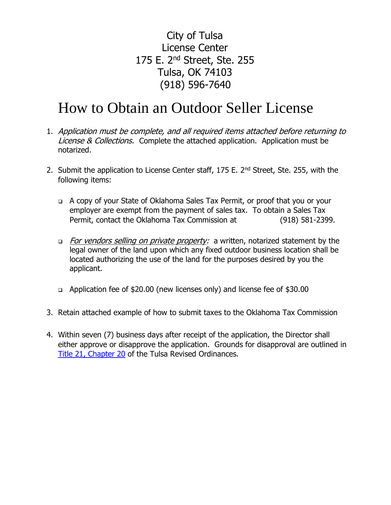City of Tulsa License Center 175 E. 2nd Street, Ste. 255 Tulsa, OK 74103 (918) 596-7640

# How to Obtain an Outdoor Seller License

- 1. Application must be complete, and all required items attached before returning to License & Collections. Complete the attached application. Application must be notarized.
- 2. Submit the application to License Center staff, 175 E. 2<sup>nd</sup> Street, Ste. 255, with the following items:
	- ❑ A copy of your State of Oklahoma Sales Tax Permit, or proof that you or your employer are exempt from the payment of sales tax. To obtain a Sales Tax Permit, contact the Oklahoma Tax Commission at (918) 581-2399.
	- □ For vendors selling on private property: a written, notarized statement by the legal owner of the land upon which any fixed outdoor business location shall be located authorizing the use of the land for the purposes desired by you the applicant.
	- ❑ Application fee of \$20.00 (new licenses only) and license fee of \$30.00
- 3. Retain attached example of how to submit taxes to the Oklahoma Tax Commission
- 4. Within seven (7) business days after receipt of the application, the Director shall either approve or disapprove the application. Grounds for disapproval are outlined in [Title 21, Chapter 20](https://library.municode.com/ok/tulsa/codes/code_of_ordinances?nodeId=CD_ORD_TIT21LI_CH20OUSE) of the Tulsa Revised Ordinances.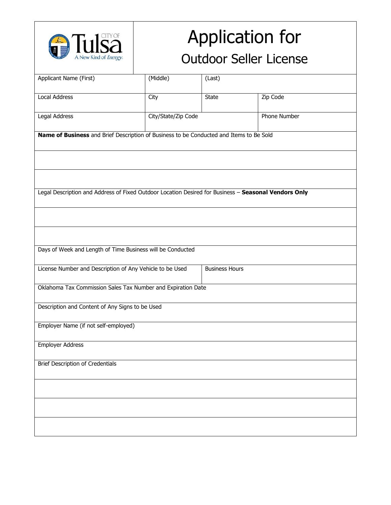

# Application for

# Outdoor Seller License

| Applicant Name (First)                                                                               | (Middle)            | (Last)                |              |
|------------------------------------------------------------------------------------------------------|---------------------|-----------------------|--------------|
|                                                                                                      |                     |                       |              |
| <b>Local Address</b>                                                                                 | City                | <b>State</b>          | Zip Code     |
|                                                                                                      |                     |                       |              |
| Legal Address                                                                                        | City/State/Zip Code |                       | Phone Number |
|                                                                                                      |                     |                       |              |
| Name of Business and Brief Description of Business to be Conducted and Items to Be Sold              |                     |                       |              |
|                                                                                                      |                     |                       |              |
|                                                                                                      |                     |                       |              |
|                                                                                                      |                     |                       |              |
|                                                                                                      |                     |                       |              |
|                                                                                                      |                     |                       |              |
|                                                                                                      |                     |                       |              |
| Legal Description and Address of Fixed Outdoor Location Desired for Business - Seasonal Vendors Only |                     |                       |              |
|                                                                                                      |                     |                       |              |
|                                                                                                      |                     |                       |              |
|                                                                                                      |                     |                       |              |
|                                                                                                      |                     |                       |              |
|                                                                                                      |                     |                       |              |
|                                                                                                      |                     |                       |              |
| Days of Week and Length of Time Business will be Conducted                                           |                     |                       |              |
|                                                                                                      |                     |                       |              |
| License Number and Description of Any Vehicle to be Used                                             |                     | <b>Business Hours</b> |              |
|                                                                                                      |                     |                       |              |
|                                                                                                      |                     |                       |              |
| Oklahoma Tax Commission Sales Tax Number and Expiration Date                                         |                     |                       |              |
|                                                                                                      |                     |                       |              |
| Description and Content of Any Signs to be Used                                                      |                     |                       |              |
|                                                                                                      |                     |                       |              |
| Employer Name (if not self-employed)                                                                 |                     |                       |              |
|                                                                                                      |                     |                       |              |
|                                                                                                      |                     |                       |              |
| <b>Employer Address</b>                                                                              |                     |                       |              |
|                                                                                                      |                     |                       |              |
| <b>Brief Description of Credentials</b>                                                              |                     |                       |              |
|                                                                                                      |                     |                       |              |
|                                                                                                      |                     |                       |              |
|                                                                                                      |                     |                       |              |
|                                                                                                      |                     |                       |              |
|                                                                                                      |                     |                       |              |
|                                                                                                      |                     |                       |              |
|                                                                                                      |                     |                       |              |
|                                                                                                      |                     |                       |              |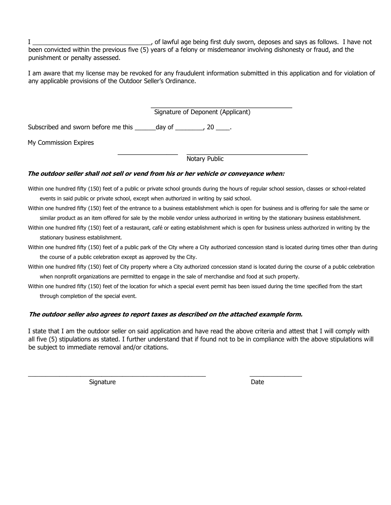I \_\_\_\_\_\_\_\_\_\_\_\_\_\_\_\_\_\_\_\_\_\_\_\_\_\_\_\_\_\_\_\_\_\_, of lawful age being first duly sworn, deposes and says as follows. I have not been convicted within the previous five (5) years of a felony or misdemeanor involving dishonesty or fraud, and the punishment or penalty assessed.

I am aware that my license may be revoked for any fraudulent information submitted in this application and for violation of any applicable provisions of the Outdoor Seller's Ordinance.

Signature of Deponent (Applicant)

Subscribed and sworn before me this day of the set of the set of the subscribed and sworn before me this

My Commission Expires

Notary Public

#### **The outdoor seller shall not sell or vend from his or her vehicle or conveyance when:**

Within one hundred fifty (150) feet of a public or private school grounds during the hours of regular school session, classes or school-related events in said public or private school, except when authorized in writing by said school.

Within one hundred fifty (150) feet of the entrance to a business establishment which is open for business and is offering for sale the same or similar product as an item offered for sale by the mobile vendor unless authorized in writing by the stationary business establishment.

Within one hundred fifty (150) feet of a restaurant, café or eating establishment which is open for business unless authorized in writing by the stationary business establishment.

Within one hundred fifty (150) feet of a public park of the City where a City authorized concession stand is located during times other than during the course of a public celebration except as approved by the City.

Within one hundred fifty (150) feet of City property where a City authorized concession stand is located during the course of a public celebration when nonprofit organizations are permitted to engage in the sale of merchandise and food at such property.

Within one hundred fifty (150) feet of the location for which a special event permit has been issued during the time specified from the start through completion of the special event.

#### **The outdoor seller also agrees to report taxes as described on the attached example form.**

\_\_\_\_\_\_\_\_\_\_\_\_\_\_\_\_\_\_\_\_\_\_\_\_\_\_\_\_\_\_\_\_\_\_\_\_\_\_\_\_\_\_\_\_\_\_\_\_\_\_\_ \_\_\_\_\_\_\_\_\_\_\_\_\_\_\_

I state that I am the outdoor seller on said application and have read the above criteria and attest that I will comply with all five (5) stipulations as stated. I further understand that if found not to be in compliance with the above stipulations will be subject to immediate removal and/or citations.

Signature Date Date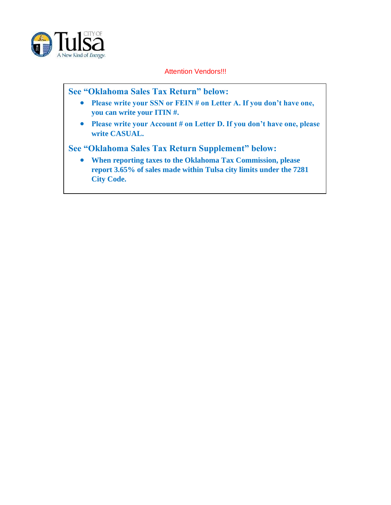

Attention Vendors!!!

#### **See "Oklahoma Sales Tax Return" below:**

- **Please write your SSN or FEIN # on Letter A. If you don't have one, you can write your ITIN #.**
- **Please write your Account # on Letter D. If you don't have one, please write CASUAL.**

**See "Oklahoma Sales Tax Return Supplement" below:** 

• **When reporting taxes to the Oklahoma Tax Commission, please report 3.65% of sales made within Tulsa city limits under the 7281 City Code.**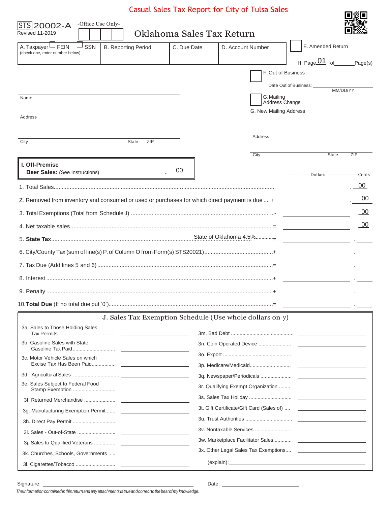### Casual Sales Tax Report for City of Tulsa Sales

同窗间

| -Office Use Only-<br>STS 20002-A<br><b>Revised 11-2019</b>                                     | Oklahoma Sales Tax Return |                              |                                                      |            |
|------------------------------------------------------------------------------------------------|---------------------------|------------------------------|------------------------------------------------------|------------|
| A. Taxpayer LJ FEIN<br>SSN<br><b>B. Reporting Period</b>                                       | C. Due Date               | D. Account Number            | E. Amended Return                                    |            |
| (check one, enter number below)                                                                |                           |                              |                                                      |            |
|                                                                                                |                           |                              | H. Page $\overline{01}$ of Page(s)                   |            |
|                                                                                                |                           | F. Out of Business           |                                                      |            |
|                                                                                                |                           |                              | Date Out of Business: _____<br>MM/DD/YY              |            |
| Name                                                                                           |                           | G. Mailing<br>Address Change |                                                      |            |
|                                                                                                |                           | G. New Mailing Address       |                                                      |            |
| Address                                                                                        |                           |                              |                                                      |            |
|                                                                                                |                           | Address                      |                                                      |            |
| State<br>ZIP<br>City                                                                           |                           |                              |                                                      |            |
|                                                                                                |                           | City                         | <b>State</b>                                         | ZIP        |
| I. Off-Premise                                                                                 | 00                        |                              |                                                      |            |
|                                                                                                |                           |                              | ------ - Dollars -------------------Cents -          |            |
|                                                                                                |                           |                              |                                                      | 00         |
| 2. Removed from inventory and consumed or used or purchases for which direct payment is due  + |                           |                              | the control of the control of the control of         | 00         |
|                                                                                                |                           |                              |                                                      | <u>.00</u> |
|                                                                                                |                           |                              |                                                      | $_{.00}$   |
|                                                                                                |                           |                              |                                                      |            |
|                                                                                                |                           |                              |                                                      |            |
|                                                                                                |                           |                              | <u> 1989 - Johann Barn, fransk politik (</u> † 1922) |            |
|                                                                                                |                           |                              |                                                      |            |
|                                                                                                |                           |                              | the contract of the contract of the contract of      |            |
|                                                                                                |                           |                              |                                                      |            |
| J. Sales Tax Exemption Schedule (Use whole dollars on y)                                       |                           |                              |                                                      |            |
| 3a. Sales to Those Holding Sales                                                               |                           |                              |                                                      |            |
| 3b. Gasoline Sales with State                                                                  |                           |                              |                                                      |            |
|                                                                                                |                           |                              |                                                      |            |
| 3c. Motor Vehicle Sales on which                                                               |                           |                              |                                                      |            |
|                                                                                                |                           |                              |                                                      |            |
| 3e. Sales Subject to Federal Food                                                              |                           |                              |                                                      |            |
|                                                                                                |                           |                              |                                                      |            |
|                                                                                                |                           |                              |                                                      |            |
|                                                                                                |                           |                              |                                                      |            |
|                                                                                                |                           |                              |                                                      |            |
|                                                                                                |                           |                              |                                                      |            |
|                                                                                                |                           |                              |                                                      |            |
|                                                                                                |                           |                              |                                                      |            |

Date:

*Theinformationcontainedinthis returnandanyattachments is trueandcorrecttothebestofmy knowledge.*